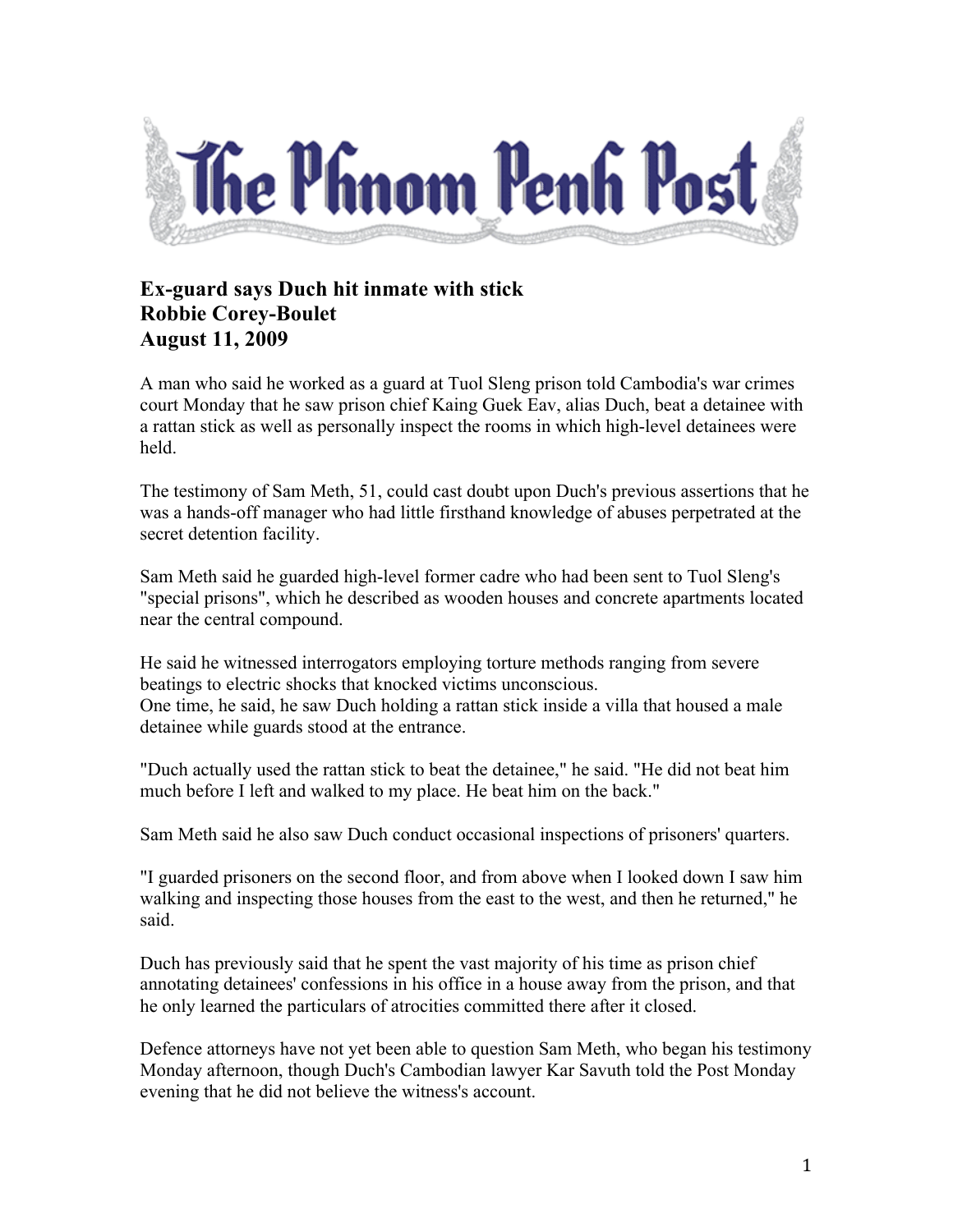

## **Ex-guard says Duch hit inmate with stick Robbie Corey-Boulet August 11, 2009**

A man who said he worked as a guard at Tuol Sleng prison told Cambodia's war crimes court Monday that he saw prison chief Kaing Guek Eav, alias Duch, beat a detainee with a rattan stick as well as personally inspect the rooms in which high-level detainees were held.

The testimony of Sam Meth, 51, could cast doubt upon Duch's previous assertions that he was a hands-off manager who had little firsthand knowledge of abuses perpetrated at the secret detention facility.

Sam Meth said he guarded high-level former cadre who had been sent to Tuol Sleng's "special prisons", which he described as wooden houses and concrete apartments located near the central compound.

He said he witnessed interrogators employing torture methods ranging from severe beatings to electric shocks that knocked victims unconscious. One time, he said, he saw Duch holding a rattan stick inside a villa that housed a male detainee while guards stood at the entrance.

"Duch actually used the rattan stick to beat the detainee," he said. "He did not beat him much before I left and walked to my place. He beat him on the back."

Sam Meth said he also saw Duch conduct occasional inspections of prisoners' quarters.

"I guarded prisoners on the second floor, and from above when I looked down I saw him walking and inspecting those houses from the east to the west, and then he returned," he said.

Duch has previously said that he spent the vast majority of his time as prison chief annotating detainees' confessions in his office in a house away from the prison, and that he only learned the particulars of atrocities committed there after it closed.

Defence attorneys have not yet been able to question Sam Meth, who began his testimony Monday afternoon, though Duch's Cambodian lawyer Kar Savuth told the Post Monday evening that he did not believe the witness's account.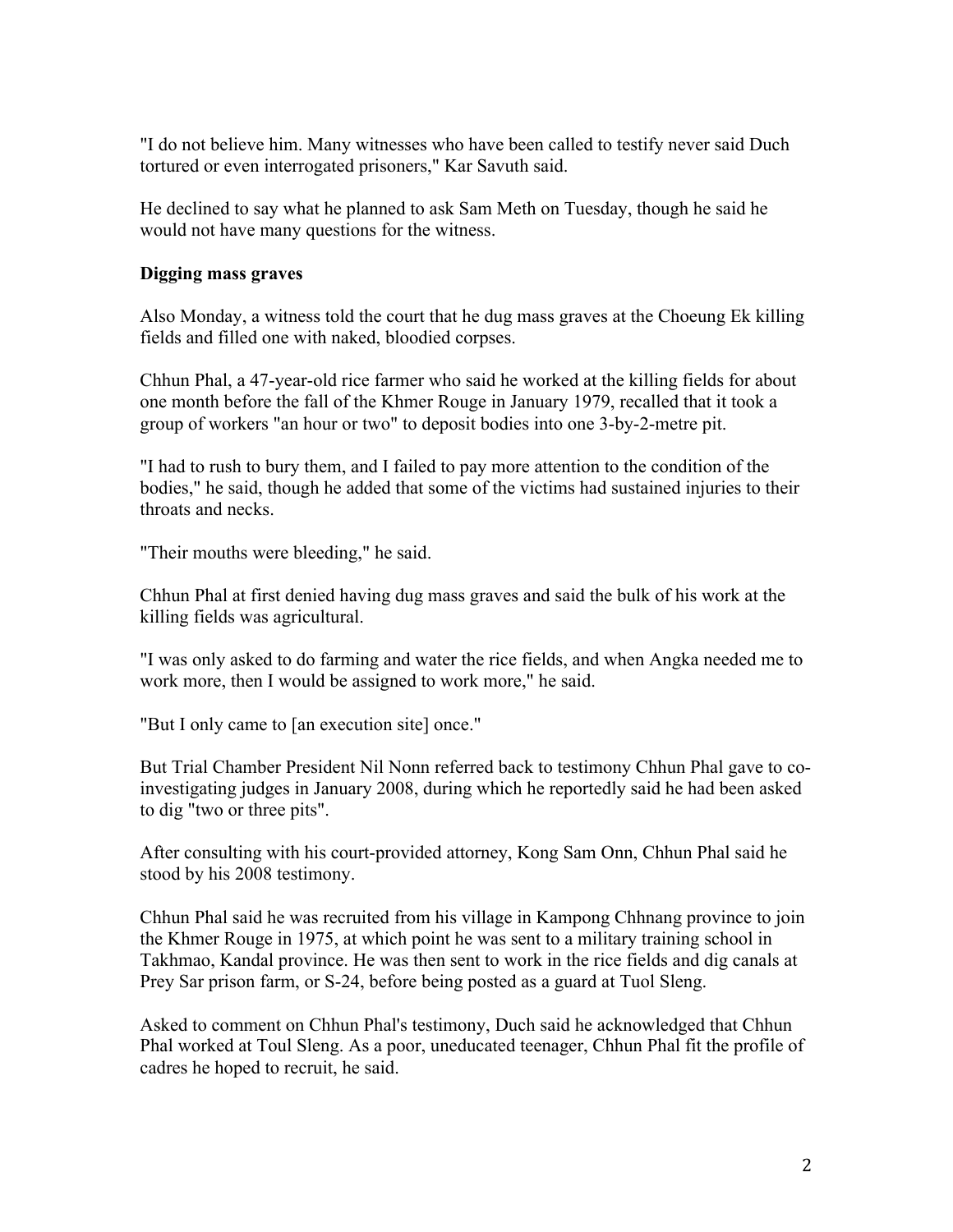"I do not believe him. Many witnesses who have been called to testify never said Duch tortured or even interrogated prisoners," Kar Savuth said.

He declined to say what he planned to ask Sam Meth on Tuesday, though he said he would not have many questions for the witness.

## **Digging mass graves**

Also Monday, a witness told the court that he dug mass graves at the Choeung Ek killing fields and filled one with naked, bloodied corpses.

Chhun Phal, a 47-year-old rice farmer who said he worked at the killing fields for about one month before the fall of the Khmer Rouge in January 1979, recalled that it took a group of workers "an hour or two" to deposit bodies into one 3-by-2-metre pit.

"I had to rush to bury them, and I failed to pay more attention to the condition of the bodies," he said, though he added that some of the victims had sustained injuries to their throats and necks.

"Their mouths were bleeding," he said.

Chhun Phal at first denied having dug mass graves and said the bulk of his work at the killing fields was agricultural.

"I was only asked to do farming and water the rice fields, and when Angka needed me to work more, then I would be assigned to work more," he said.

"But I only came to [an execution site] once."

But Trial Chamber President Nil Nonn referred back to testimony Chhun Phal gave to coinvestigating judges in January 2008, during which he reportedly said he had been asked to dig "two or three pits".

After consulting with his court-provided attorney, Kong Sam Onn, Chhun Phal said he stood by his 2008 testimony.

Chhun Phal said he was recruited from his village in Kampong Chhnang province to join the Khmer Rouge in 1975, at which point he was sent to a military training school in Takhmao, Kandal province. He was then sent to work in the rice fields and dig canals at Prey Sar prison farm, or S-24, before being posted as a guard at Tuol Sleng.

Asked to comment on Chhun Phal's testimony, Duch said he acknowledged that Chhun Phal worked at Toul Sleng. As a poor, uneducated teenager, Chhun Phal fit the profile of cadres he hoped to recruit, he said.